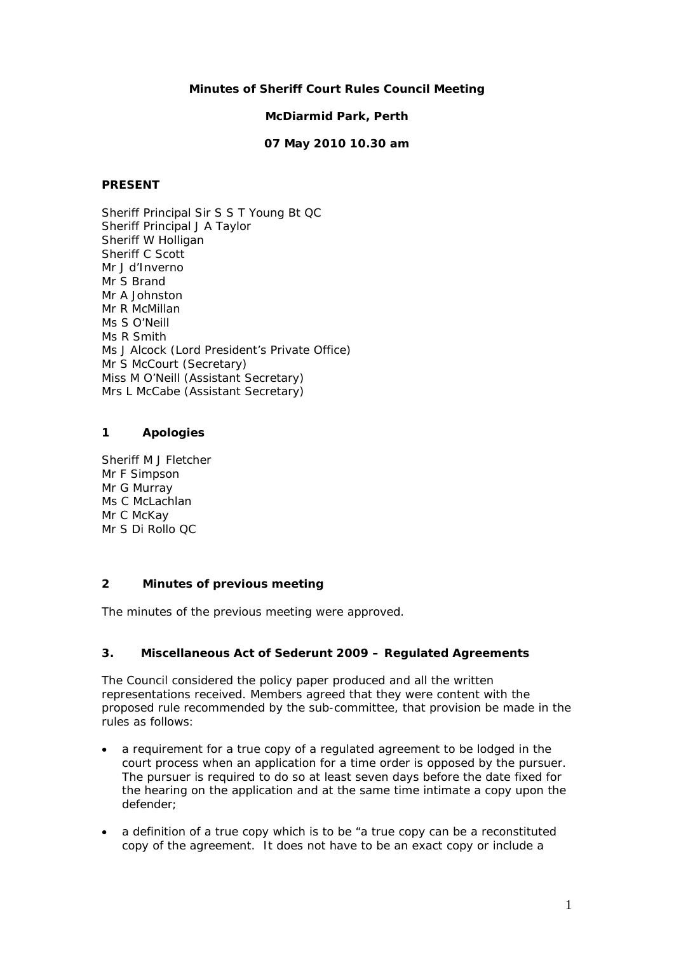### **Minutes of Sheriff Court Rules Council Meeting**

#### **McDiarmid Park, Perth**

### **07 May 2010 10.30 am**

#### **PRESENT**

Sheriff Principal Sir S S T Young Bt QC Sheriff Principal J A Taylor Sheriff W Holligan Sheriff C Scott Mr J d'Inverno Mr S Brand Mr A Johnston Mr R McMillan Ms S O'Neill Ms R Smith Ms J Alcock (Lord President's Private Office) Mr S McCourt (Secretary) Miss M O'Neill (Assistant Secretary) Mrs L McCabe (Assistant Secretary)

#### **1 Apologies**

Sheriff M J Fletcher Mr F Simpson Mr G Murray Ms C McLachlan Mr C McKay Mr S Di Rollo QC

## **2 Minutes of previous meeting**

The minutes of the previous meeting were approved.

### **3. Miscellaneous Act of Sederunt 2009 – Regulated Agreements**

The Council considered the policy paper produced and all the written representations received. Members agreed that they were content with the proposed rule recommended by the sub-committee, that provision be made in the rules as follows:

- a requirement for a true copy of a regulated agreement to be lodged in the court process when an application for a time order is opposed by the pursuer. The pursuer is required to do so at least seven days before the date fixed for the hearing on the application and at the same time intimate a copy upon the defender;
- a definition of a true copy which is to be "a true copy can be a reconstituted copy of the agreement. It does not have to be an exact copy or include a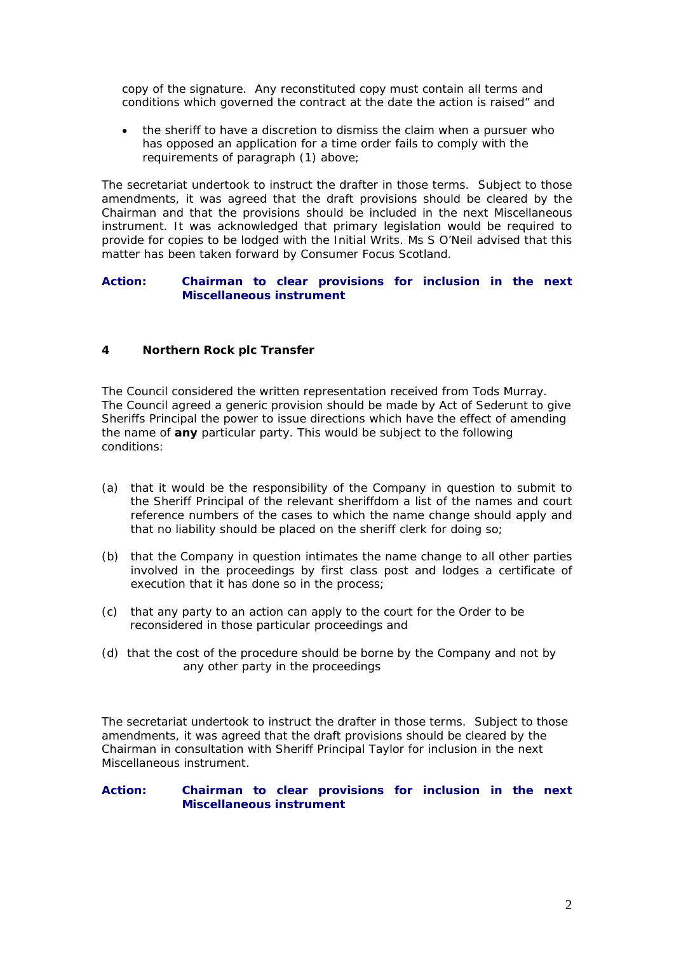copy of the signature. Any reconstituted copy must contain all terms and conditions which governed the contract at the date the action is raised" and

• the sheriff to have a discretion to dismiss the claim when a pursuer who has opposed an application for a time order fails to comply with the requirements of paragraph (1) above;

The secretariat undertook to instruct the drafter in those terms. Subject to those amendments, it was agreed that the draft provisions should be cleared by the Chairman and that the provisions should be included in the next Miscellaneous instrument. It was acknowledged that primary legislation would be required to provide for copies to be lodged with the Initial Writs. Ms S O'Neil advised that this matter has been taken forward by Consumer Focus Scotland.

### **Action: Chairman to clear provisions for inclusion in the next Miscellaneous instrument**

## **4 Northern Rock plc Transfer**

The Council considered the written representation received from Tods Murray. The Council agreed a generic provision should be made by Act of Sederunt to give Sheriffs Principal the power to issue directions which have the effect of amending the name of *any* particular party. This would be subject to the following conditions:

- (a) that it would be the responsibility of the Company in question to submit to the Sheriff Principal of the relevant sheriffdom a list of the names and court reference numbers of the cases to which the name change should apply and that no liability should be placed on the sheriff clerk for doing so;
- (b) that the Company in question intimates the name change to all other parties involved in the proceedings by first class post and lodges a certificate of execution that it has done so in the process;
- (c) that any party to an action can apply to the court for the Order to be reconsidered in those particular proceedings and
- (d) that the cost of the procedure should be borne by the Company and not by any other party in the proceedings

The secretariat undertook to instruct the drafter in those terms. Subject to those amendments, it was agreed that the draft provisions should be cleared by the Chairman in consultation with Sheriff Principal Taylor for inclusion in the next Miscellaneous instrument.

## **Action: Chairman to clear provisions for inclusion in the next Miscellaneous instrument**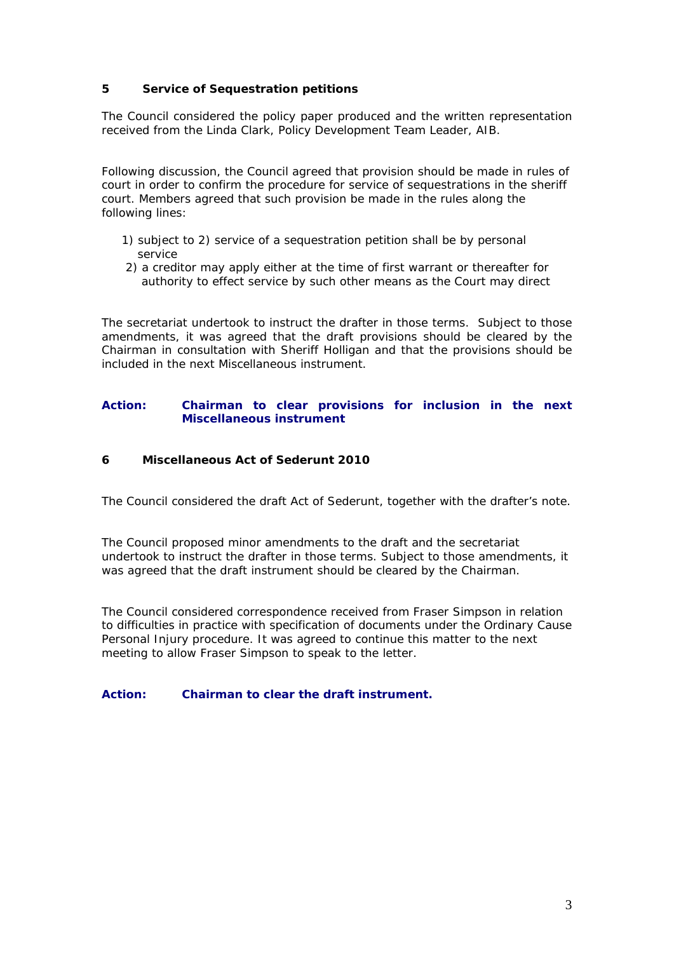## **5 Service of Sequestration petitions**

The Council considered the policy paper produced and the written representation received from the Linda Clark, Policy Development Team Leader, AIB.

Following discussion, the Council agreed that provision should be made in rules of court in order to confirm the procedure for service of sequestrations in the sheriff court. Members agreed that such provision be made in the rules along the following lines:

- 1) subject to 2) service of a sequestration petition shall be by personal service
- 2) a creditor may apply either at the time of first warrant or thereafter for authority to effect service by such other means as the Court may direct

The secretariat undertook to instruct the drafter in those terms. Subject to those amendments, it was agreed that the draft provisions should be cleared by the Chairman in consultation with Sheriff Holligan and that the provisions should be included in the next Miscellaneous instrument.

### **Action: Chairman to clear provisions for inclusion in the next Miscellaneous instrument**

#### **6 Miscellaneous Act of Sederunt 2010**

The Council considered the draft Act of Sederunt, together with the drafter's note.

The Council proposed minor amendments to the draft and the secretariat undertook to instruct the drafter in those terms. Subject to those amendments, it was agreed that the draft instrument should be cleared by the Chairman.

The Council considered correspondence received from Fraser Simpson in relation to difficulties in practice with specification of documents under the Ordinary Cause Personal Injury procedure. It was agreed to continue this matter to the next meeting to allow Fraser Simpson to speak to the letter.

#### **Action: Chairman to clear the draft instrument.**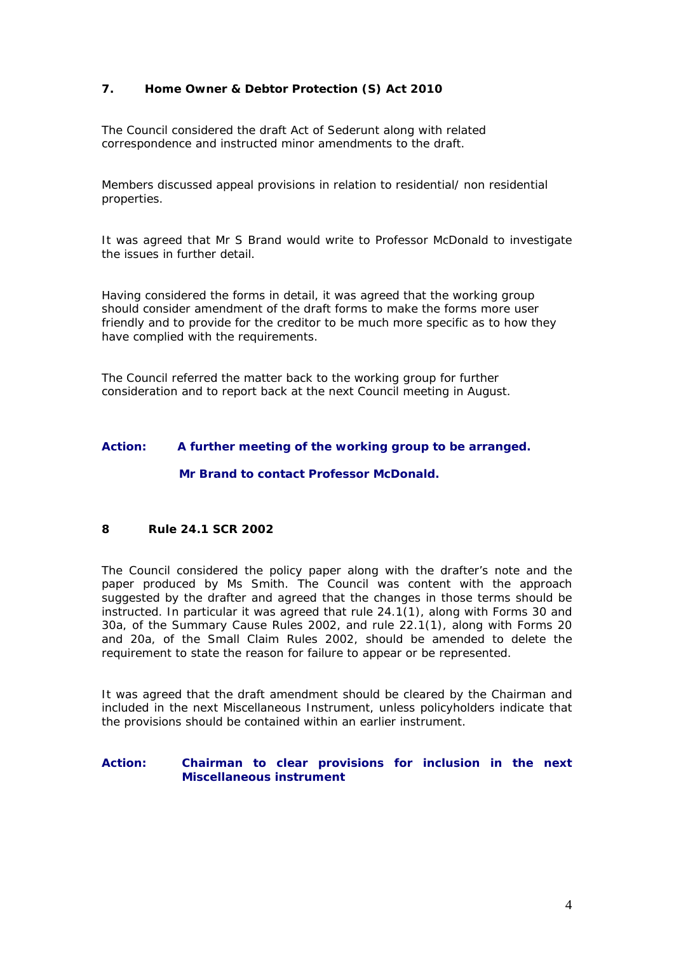# **7. Home Owner & Debtor Protection (S) Act 2010**

The Council considered the draft Act of Sederunt along with related correspondence and instructed minor amendments to the draft.

Members discussed appeal provisions in relation to residential/ non residential properties.

It was agreed that Mr S Brand would write to Professor McDonald to investigate the issues in further detail.

Having considered the forms in detail, it was agreed that the working group should consider amendment of the draft forms to make the forms more user friendly and to provide for the creditor to be much more specific as to how they have complied with the requirements.

The Council referred the matter back to the working group for further consideration and to report back at the next Council meeting in August.

#### **Action: A further meeting of the working group to be arranged.**

 **Mr Brand to contact Professor McDonald.**

# **8 Rule 24.1 SCR 2002**

The Council considered the policy paper along with the drafter's note and the paper produced by Ms Smith. The Council was content with the approach suggested by the drafter and agreed that the changes in those terms should be instructed. In particular it was agreed that rule 24.1(1), along with Forms 30 and 30a, of the Summary Cause Rules 2002, and rule 22.1(1), along with Forms 20 and 20a, of the Small Claim Rules 2002, should be amended to delete the requirement to state the reason for failure to appear or be represented.

It was agreed that the draft amendment should be cleared by the Chairman and included in the next Miscellaneous Instrument, unless policyholders indicate that the provisions should be contained within an earlier instrument.

#### <span id="page-3-0"></span>**Action: Chairman to clear provisions for inclusion in the next Miscellaneous instrument**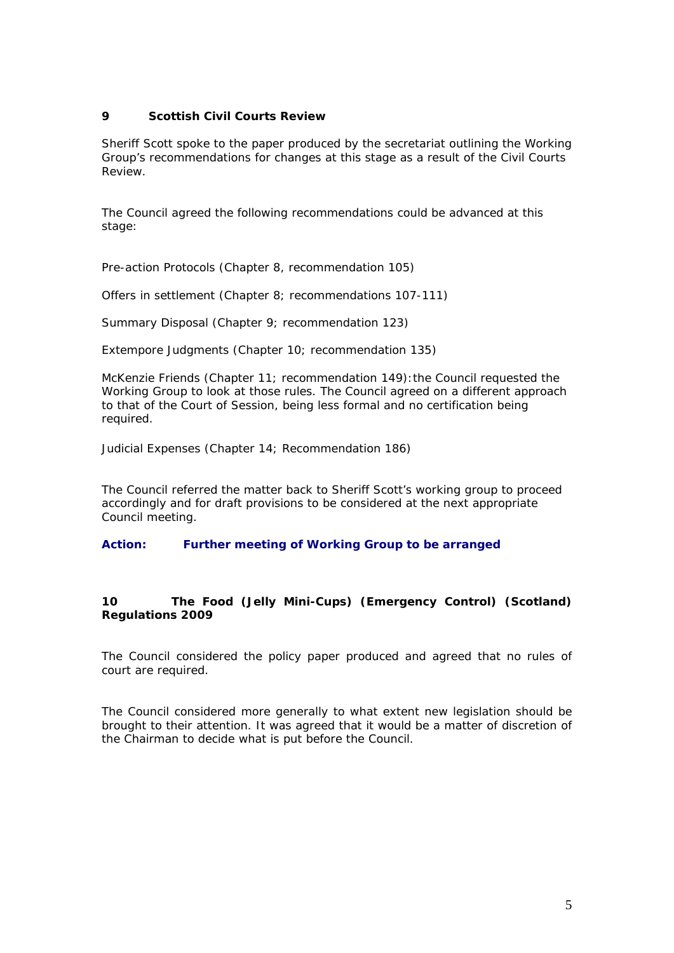## **9 Scottish Civil Courts Review**

Sheriff Scott spoke to the paper produced by the secretariat outlining the Working Group's recommendations for changes at this stage as a result of the Civil Courts Review.

The Council agreed the following recommendations could be advanced at this stage:

Pre-action Protocols (Chapter 8, recommendation 105)

Offers in settlement (Chapter 8; recommendations 107-111)

Summary Disposal (Chapter 9; recommendation 123)

*Extempore* Judgments (Chapter 10; recommendation 135)

McKenzie Friends (Chapter 11; recommendation 149):the Council requested the Working Group to look at those rules. The Council agreed on a different approach to that of the Court of Session, being less formal and no certification being required.

Judicial Expenses (Chapter 14; Recommendation 186)

The Council referred the matter back to Sheriff Scott's working group to proceed accordingly and for draft provisions to be considered at the next appropriate Council meeting.

### **Action: [Further meeting of Working Group to be arranged](#page-3-0)**

# **10 The Food (Jelly Mini-Cups) (Emergency Control) (Scotland) Regulations 2009**

The Council considered the policy paper produced and agreed that no rules of court are required.

The Council considered more generally to what extent new legislation should be brought to their attention. It was agreed that it would be a matter of discretion of the Chairman to decide what is put before the Council.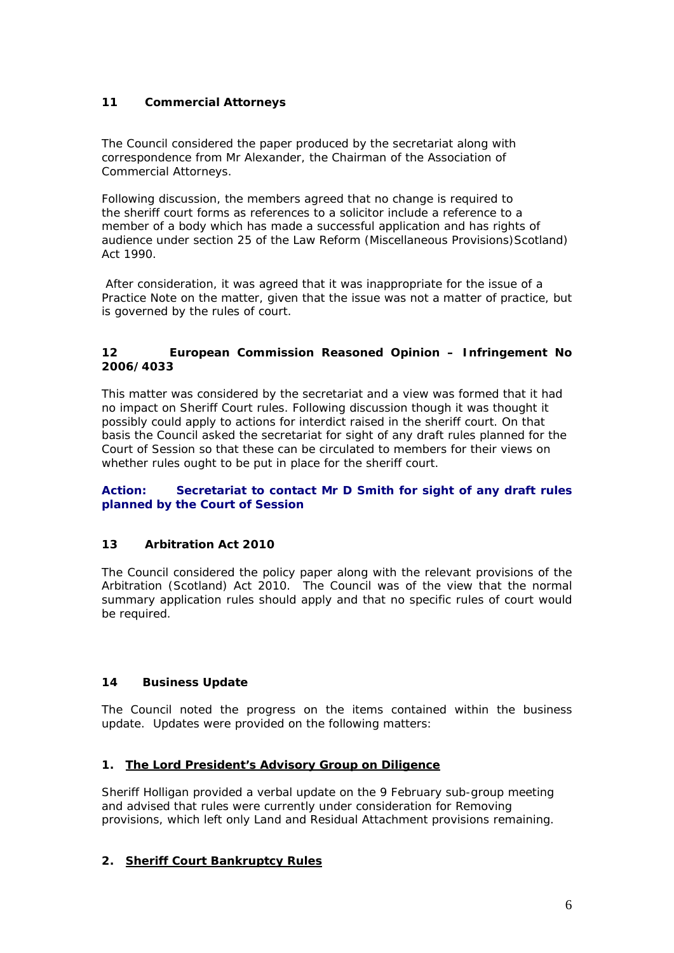# **11 Commercial Attorneys**

The Council considered the paper produced by the secretariat along with correspondence from Mr Alexander, the Chairman of the Association of Commercial Attorneys.

Following discussion, the members agreed that no change is required to the sheriff court forms as references to a solicitor include a reference to a member of a body which has made a successful application and has rights of audience under section 25 of the Law Reform (Miscellaneous Provisions) Scotland) Act 1990.

After consideration, it was agreed that it was inappropriate for the issue of a Practice Note on the matter, given that the issue was not a matter of practice, but is governed by the rules of court.

## **12 European Commission Reasoned Opinion – Infringement No 2006/4033**

This matter was considered by the secretariat and a view was formed that it had no impact on Sheriff Court rules. Following discussion though it was thought it possibly could apply to actions for interdict raised in the sheriff court. On that basis the Council asked the secretariat for sight of any draft rules planned for the Court of Session so that these can be circulated to members for their views on whether rules ought to be put in place for the sheriff court.

## **Action: Secretariat to contact Mr D Smith for sight of any draft rules planned by the Court of Session**

# **13 Arbitration Act 2010**

The Council considered the policy paper along with the relevant provisions of the Arbitration (Scotland) Act 2010. The Council was of the view that the normal summary application rules should apply and that no specific rules of court would be required.

# **14 Business Update**

The Council noted the progress on the items contained within the business update. Updates were provided on the following matters:

# **1. The Lord President's Advisory Group on Diligence**

Sheriff Holligan provided a verbal update on the 9 February sub-group meeting and advised that rules were currently under consideration for Removing provisions, which left only Land and Residual Attachment provisions remaining.

# **2. Sheriff Court Bankruptcy Rules**